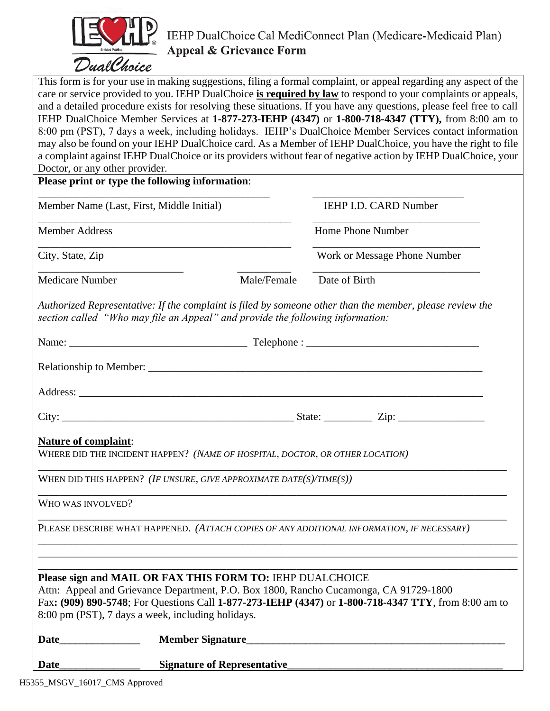

This form is for your use in making suggestions, filing a formal complaint, or appeal regarding any aspect of the care or service provided to you. IEHP DualChoice **is required by law** to respond to your complaints or appeals, and a detailed procedure exists for resolving these situations. If you have any questions, please feel free to call IEHP DualChoice Member Services at **1-877-273-IEHP (4347)** or **1-800-718-4347 (TTY),** from 8:00 am to 8:00 pm (PST), 7 days a week, including holidays. IEHP's DualChoice Member Services contact information may also be found on your IEHP DualChoice card. As a Member of IEHP DualChoice, you have the right to file a complaint against IEHP DualChoice or its providers without fear of negative action by IEHP DualChoice, your

| Doctor, or any other provider.                                                                              |             |                                                                                                                                                                                               |
|-------------------------------------------------------------------------------------------------------------|-------------|-----------------------------------------------------------------------------------------------------------------------------------------------------------------------------------------------|
| Please print or type the following information:                                                             |             |                                                                                                                                                                                               |
| Member Name (Last, First, Middle Initial)                                                                   |             | IEHP I.D. CARD Number                                                                                                                                                                         |
| <b>Member Address</b>                                                                                       |             | Home Phone Number                                                                                                                                                                             |
| City, State, Zip                                                                                            |             | Work or Message Phone Number                                                                                                                                                                  |
| <b>Medicare Number</b>                                                                                      | Male/Female | Date of Birth                                                                                                                                                                                 |
| section called "Who may file an Appeal" and provide the following information:                              |             | Authorized Representative: If the complaint is filed by someone other than the member, please review the                                                                                      |
|                                                                                                             |             |                                                                                                                                                                                               |
|                                                                                                             |             |                                                                                                                                                                                               |
|                                                                                                             |             |                                                                                                                                                                                               |
|                                                                                                             |             |                                                                                                                                                                                               |
| <b>Nature of complaint:</b><br>WHERE DID THE INCIDENT HAPPEN? (NAME OF HOSPITAL, DOCTOR, OR OTHER LOCATION) |             |                                                                                                                                                                                               |
| WHEN DID THIS HAPPEN? (IF UNSURE, GIVE APPROXIMATE DATE(S)/TIME(S))                                         |             |                                                                                                                                                                                               |
| WHO WAS INVOLVED?                                                                                           |             |                                                                                                                                                                                               |
|                                                                                                             |             | PLEASE DESCRIBE WHAT HAPPENED. (ATTACH COPIES OF ANY ADDITIONAL INFORMATION, IF NECESSARY)                                                                                                    |
|                                                                                                             |             |                                                                                                                                                                                               |
| Please sign and MAIL OR FAX THIS FORM TO: IEHP DUALCHOICE                                                   |             |                                                                                                                                                                                               |
|                                                                                                             |             | Attn: Appeal and Grievance Department, P.O. Box 1800, Rancho Cucamonga, CA 91729-1800<br>Fax: (909) 890-5748; For Questions Call 1-877-273-IEHP (4347) or 1-800-718-4347 TTY, from 8:00 am to |

8:00 pm (PST), 7 days a week, including holidays.

| <b>Date</b> | <b>Member Signature</b> |
|-------------|-------------------------|
|-------------|-------------------------|

**Date\_\_\_\_\_\_\_\_\_\_\_\_\_\_\_ Signature of Representative\_\_\_\_\_\_\_\_\_\_\_\_\_\_\_\_\_\_\_\_\_\_\_\_\_\_\_\_\_\_\_\_\_\_\_\_\_\_\_\_**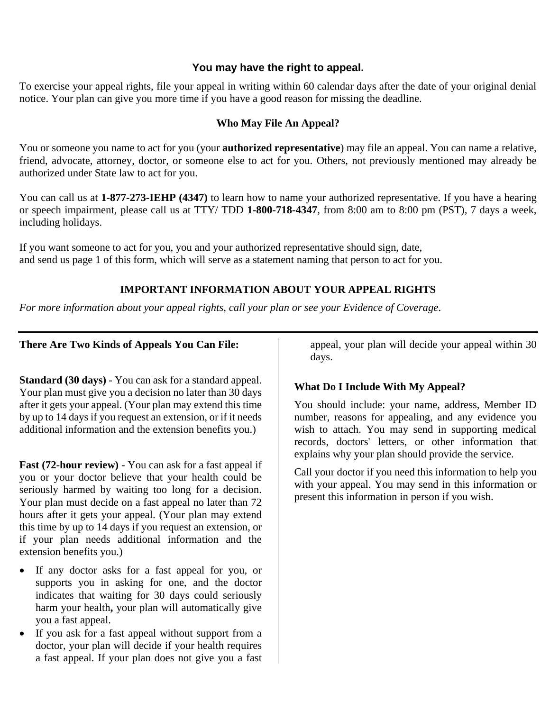### **You may have the right to appeal.**

To exercise your appeal rights, file your appeal in writing within 60 calendar days after the date of your original denial notice. Your plan can give you more time if you have a good reason for missing the deadline.

#### **Who May File An Appeal?**

You or someone you name to act for you (your **authorized representative**) may file an appeal. You can name a relative, friend, advocate, attorney, doctor, or someone else to act for you. Others, not previously mentioned may already be authorized under State law to act for you.

You can call us at **1-877-273-IEHP (4347)** to learn how to name your authorized representative. If you have a hearing or speech impairment, please call us at TTY/ TDD **1-800-718-4347**, from 8:00 am to 8:00 pm (PST), 7 days a week, including holidays.

If you want someone to act for you, you and your authorized representative should sign, date, and send us page 1 of this form, which will serve as a statement naming that person to act for you.

## **IMPORTANT INFORMATION ABOUT YOUR APPEAL RIGHTS**

*For more information about your appeal rights, call your plan or see your Evidence of Coverage*.

### **There Are Two Kinds of Appeals You Can File:**

**Standard (30 days)** - You can ask for a standard appeal. Your plan must give you a decision no later than 30 days after it gets your appeal. (Your plan may extend this time by up to 14 days if you request an extension, or if it needs additional information and the extension benefits you.)

**Fast (72-hour review)** - You can ask for a fast appeal if you or your doctor believe that your health could be seriously harmed by waiting too long for a decision. Your plan must decide on a fast appeal no later than 72 hours after it gets your appeal. (Your plan may extend this time by up to 14 days if you request an extension, or if your plan needs additional information and the extension benefits you.)

- If any doctor asks for a fast appeal for you, or supports you in asking for one, and the doctor indicates that waiting for 30 days could seriously harm your health**,** your plan will automatically give you a fast appeal.
- If you ask for a fast appeal without support from a doctor, your plan will decide if your health requires a fast appeal. If your plan does not give you a fast

appeal, your plan will decide your appeal within 30 days.

### **What Do I Include With My Appeal?**

You should include: your name, address, Member ID number, reasons for appealing, and any evidence you wish to attach. You may send in supporting medical records, doctors' letters, or other information that explains why your plan should provide the service.

Call your doctor if you need this information to help you with your appeal. You may send in this information or present this information in person if you wish.